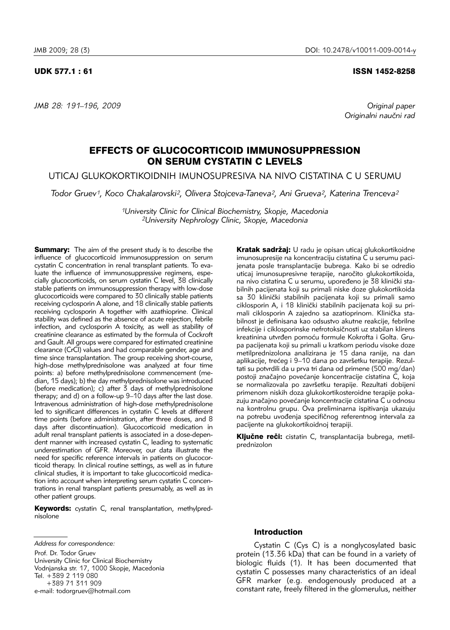*JMB 28: 191–196, 2009 Original paper*

#### UDK 577.1 : 61 ISSN 1452-8258

Originalni naučni rad

# EFFECTS OF GLUCOCORTICOID IMMUNOSUPPRESSION ON SERUM CYSTATIN C LEVELS

UTICAJ GLUKOKORTIKOIDNIH IMUNOSUPRESIVA NA NIVO CISTATINA C U SERUMU

*Todor Gruev1, Koco Chakalarovski2, Olivera Stojceva-Taneva2, Ani Grueva2, Katerina Trenceva2*

*1University Clinic for Clinical Biochemistry, Skopje, Macedonia 2University Nephrology Clinic, Skopje, Macedonia*

**Summary:** The aim of the present study is to describe the influence of glucocorticoid immunosuppression on serum cystatin C concentration in renal transplant patients. To evaluate the influence of immunosuppressive regimens, especially glucocorticoids, on serum cystatin C level, 38 clinically stable patients on immunosuppression therapy with low-dose glucocorticoids were compared to 30 clinically stable patients receiving cyclosporin A alone, and 18 clinically stable patients receiving cyclosporin A together with azathioprine. Clinical stability was defined as the absence of acute rejection, febrile infection, and cyclosporin A toxicity, as well as stability of creatinine clearance as estimated by the formula of Cockroft and Gault. All groups were compared for estimated creatinine clearance (CrCl) values and had comparable gender, age and time since transplantation. The group receiving short-course, high-dose methylprednisolone was analyzed at four time points: a) before methylprednisolone commencement (median, 15 days); b) the day methylprednisolone was introduced (before medication); c) after 3 days of methylprednisolone therapy; and d) on a follow-up 9–10 days after the last dose. Intravenous administration of high-dose methylprednisolone led to significant differences in cystatin C levels at different time points (before administration, after three doses, and 8 days after discontinuation). Glucocorticoid medication in adult renal transplant patients is associated in a dose-dependent manner with increased cystatin C, leading to systematic underestimation of GFR. Moreover, our data illustrate the need for specific reference intervals in patients on glucocorticoid therapy. In clinical routine settings, as well as in future clinical studies, it is important to take glucocorticoid medication into account when interpreting serum cystatin C concentrations in renal transplant patients presumably, as well as in other patient groups.

Keywords: cystatin C, renal transplantation, methylprednisolone

*Address for correspondence:*

Prof. Dr. Todor Gruev University Clinic for Clinical Biochemistry Vodnjanska str. 17, 1000 Skopje, Macedonia Tel. +389 2 119 080 +389 71 311 909 e-mail: todorgruev@hotmail.com

Kratak sadržaj: U radu je opisan uticaj glukokortikoidne imunosupresije na koncentraciju cistatina C u serumu pacijenata posle transplantacije bubrega. Kako bi se odredio uticaj imunosupresivne terapije, naročito glukokortikoida, na nivo cistatina C u serumu, upoređeno je 38 klinički stabilnih pacijenata koji su primali niske doze glukokortikoida sa 30 klinički stabilnih pacijenata koji su primali samo ciklosporin A, i 18 klinički stabilnih pacijenata koji su primali ciklosporin A zajedno sa azatioprinom. Klinička stabilnost je definisana kao odsustvo akutne reakcije, febrilne infekcije i ciklosporinske nefrotoksičnosti uz stabilan klirens kreatinina utvrđen pomoću formule Kokrofta i Golta. Grupa pacijenata koji su primali u kratkom periodu visoke doze metilprednizolona analizirana je 15 dana ranije, na dan aplikacije, trećeg i 9–10 dana po završetku terapije. Rezultati su potvrdili da u prva tri dana od primene (500 mg/dan) postoji značajno povećanje koncentracije cistatina C, koja se normalizovala po završetku terapije. Rezultati dobijeni primenom niskih doza glukokortikosteroidne terapije pokazuju značajno povećanje koncentracije cistatina C u odnosu na kontrolnu grupu. Ova preliminarna ispitivanja ukazuju na potrebu uvođenja specifičnog referentnog intervala za pacijente na glukokortikoidnoj terapiji.

Ključne reči: cistatin C, transplantacija bubrega, metilprednizolon

## Introduction

Cystatin C (Cys C) is a nonglycosylated basic protein (13.36 kDa) that can be found in a variety of biologic fluids (1). It has been documented that cystatin C possesses many characteristics of an ideal GFR marker (e.g. endogenously produced at a constant rate, freely filtered in the glomerulus, neither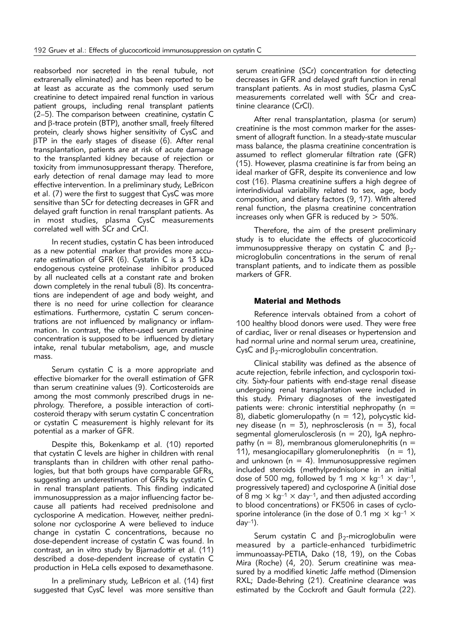reabsorbed nor secreted in the renal tubule, not extrarenally eliminated) and has been reported to be at least as accurate as the commonly used serum creatinine to detect impaired renal function in various patient groups, including renal transplant patients  $(2-5)$ . The comparison between creatinine, cystatin C and  $\beta$ -trace protein (BTP), another small, freely filtered protein, clearly shows higher sensitivity of CysC and  $\beta$ TP in the early stages of disease (6). After renal transplantation, patients are at risk of acute damage to the transplanted kidney because of rejection or toxicity from immunosuppressant therapy. Therefore, early detection of renal damage may lead to more effective intervention. In a preliminary study, LeBricon et al. (7) were the first to suggest that CysC was more sensitive than SCr for detecting decreases in GFR and delayed graft function in renal transplant patients. As in most studies, plasma CysC measurements correlated well with SCr and CrCl.

In recent studies, cystatin C has been introduced as a new potential marker that provides more accurate estimation of GFR (6). Cystatin C is a 13 kDa endo genous cysteine proteinase inhibitor produced by all nucleated cells at a constant rate and broken down completely in the renal tubuli (8). Its concentrations are independent of age and body weight, and there is no need for urine collection for clearance estimations. Furthermore, cystatin C serum concentrations are not influenced by malignancy or inflammation. In contrast, the often-used serum creatinine concentration is supposed to be influenced by dietary intake, renal tubular metabolism, age, and muscle mass.

Serum cystatin C is a more appropriate and effective biomarker for the overall estimation of GFR than serum creatinine values (9). Corticosteroids are among the most commonly prescribed drugs in nephrology. Therefore, a possible interaction of corticosteroid therapy with serum cystatin C concentration or cystatin C measurement is highly relevant for its potential as a marker of GFR.

Despite this, Bokenkamp et al. (10) reported that cystatin C levels are higher in children with renal transplants than in children with other renal pathologies, but that both groups have comparable GFRs, suggesting an underestimation of GFRs by cystatin C in renal transplant patients. This finding indicated immunosuppression as a major influencing factor because all patients had received prednisolone and cyclosporine A medication. However, neither prednisolone nor cyclosporine A were believed to induce change in cystatin C concentrations, because no dose-dependent increase of cystatin C was found. In contrast, an in vitro study by Bjarnadottir et al. (11) described a dose-dependent increase of cystatin C production in HeLa cells exposed to dexamethasone.

In a preliminary study, LeBricon et al. (14) first suggested that CysC level was more sensitive than

serum creatinine (SCr) concentration for detecting decreases in GFR and delayed graft function in renal transplant patients. As in most studies, plasma CysC measurements correlated well with SCr and creatinine clearance (CrCl).

After renal transplantation, plasma (or serum) creatinine is the most common marker for the assessment of allograft function. In a steady-state muscular mass balance, the plasma creatinine concentration is assumed to reflect glomerular filtration rate (GFR) (15). However, plasma creatinine is far from being an ideal marker of GFR, despite its convenience and low cost (16). Plasma creatinine suffers a high degree of interindividual variability related to sex, age, body composition, and dietary factors (9, 17). With altered renal function, the plasma creatinine concentration increases only when GFR is reduced by  $>$  50%.

Therefore, the aim of the present preliminary study is to elucidate the effects of glucocorticoid immunosuppressive therapy on cystatin C and  $\beta_{2}$ microglobulin concentrations in the serum of renal transplant patients, and to indicate them as possible markers of GFR.

### Material and Methods

Reference intervals obtained from a cohort of 100 healthy blood donors were used. They were free of cardiac, liver or renal diseases or hypertension and had normal urine and normal serum urea, creatinine, CysC and  $\beta_2$ -microglobulin concentration.

Clinical stability was defined as the absence of acute rejection, febrile infection, and cyclosporin toxicity. Sixty-four patients with end-stage renal disease undergoing renal transplantation were included in this study. Primary diagnoses of the investigated patients were: chronic interstitial nephropathy ( $n =$ 8), diabetic glomerulopathy ( $n = 12$ ), polycystic kidney disease ( $n = 3$ ), nephrosclerosis ( $n = 3$ ), focal segmental glomerulosclerosis ( $n = 20$ ), IgA nephropathy ( $n = 8$ ), membranous glomerulonephritis ( $n =$ 11), mesangiocapillary glomerulonephritis  $(n = 1)$ , and unknown ( $n = 4$ ). Immunosuppressive regimen included steroids (methylprednisolone in an initial dose of 500 mg, followed by 1 mg  $\times$  kg<sup>-1</sup>  $\times$  day<sup>-1</sup>, progressively tapered) and cyclosporine A (initial dose of 8 mg  $\times$  kg<sup>-1</sup>  $\times$  day<sup>-1</sup>, and then adjusted according to blood concentrations) or FK506 in cases of cyclosporine intolerance (in the dose of 0.1 mg  $\times$  kg<sup>-1</sup>  $\times$ day $-1$ ).

Serum cystatin C and  $\beta_2$ -microglobulin were measured by a particle-enhanced turbidimetric immunoassay-PETIA, Dako (18, 19), on the Cobas Mira (Roche) (4, 20). Serum creatinine was measured by a modified kinetic Jaffe method (Dimension RXL; Dade-Behring (21). Creatinine clearance was estimated by the Cockroft and Gault formula (22).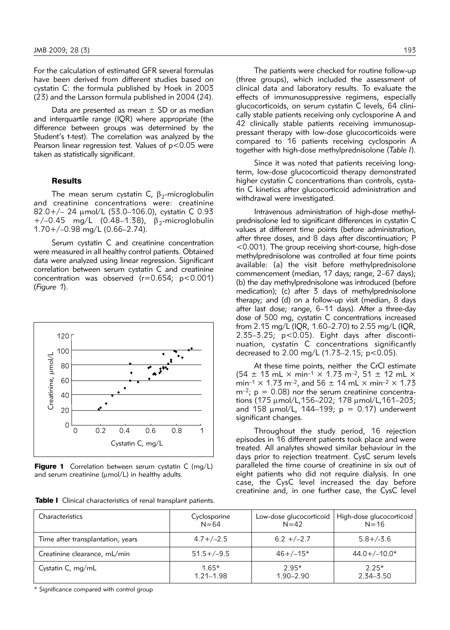For the calculation of estimated GFR several formulas have been derived from different studies based on cystatin C: the formula published by Hoek in 2003 (23) and the Larsson formula published in 2004 (24).

Data are presented as mean  $\pm$  SD or as median and interquartile range (IQR) where appropriate (the difference between groups was determined by the Student's t-test). The correlation was analyzed by the Pearson linear regression test. Values of  $p < 0.05$  were taken as statistically significant.

#### **Results**

The mean serum cystatin C,  $\beta_2$ -microglobulin and creatinine concentrations were: creatinine 82.0+/– 24 mmol/L (53.0–106.0), cystatin C 0.93  $+/-0.45$  mg/L (0.48–1.38),  $\beta_2$ -microglobulin<br>1 70+/–0 98 mg/L (0 66–2 74) 1.70+/–0.98 mg/L (0.66–2.74).

Serum cystatin C and creatinine concentration were measured in all healthy control patients. Obtained data were analyzed using linear regression. Significant correlation between serum cystatin C and creatinine concentration was observed  $(r=0.654; p<0.001)$ (*Figure 1*).



**Figure 1** Correlation between serum cystatin C (mg/L)

The patients were checked for routine follow-up (three groups), which included the assessment of clinical data and laboratory results. To evaluate the effects of immunosuppressive regimens, especially gluco corticoids, on serum cystatin C levels, 64 clinically stable patients receiving only cyclosporine A and 42 clinically stable patients receiving immunosuppressant therapy with low-dose glucocorticoids were com pared to 16 patients receiving cyclosporin A together with high-dose methylprednisolone (*Table I*).

Since it was noted that patients receiving longterm, low-dose glucocorticoid therapy demonstrated higher cystatin C concentrations than controls, cystatin C kinetics after glucocorticoid administration and withdrawal were investigated.

Intravenous administration of high-dose methylprednisolone led to significant differences in cystatin C values at different time points (before administration, after three doses, and 8 days after discontinuation; P <0.001). The group receiving short-course, high-dose methylprednisolone was controlled at four time points available: (a) the visit before methylprednisolone commencement (median, 17 days; range, 2–67 days); (b) the day methylprednisolone was introduced (before medication); (c) after 3 days of methylprednisolone therapy; and  $(d)$  on a follow-up visit (median,  $8$  days after last dose; range, 6–11 days). After a three-day dose of 500 mg, cystatin C concentrations increased from 2.15 mg/L (IQR, 1.60–2.70) to 2.55 mg/L (IQR,  $2.35-3.25$ ;  $p < 0.05$ ). Eight days after discontinuation, cystatin C concentrations significantly decreased to 2.00 mg/L (1.73–2.15; p<0.05).

At these time points, neither the CrCl estimate  $(54 \pm 13 \text{ mL} \times \text{min}^{-1} \times 1.73 \text{ m}^{-2}, 51 \pm 12 \text{ mL} \times$ min<sup>-1</sup>  $\times$  1.73 m<sup>-2</sup>, and 56  $\pm$  14 mL  $\times$  min<sup>-2</sup>  $\times$  1.73  $m<sup>-2</sup>$ ;  $p = 0.08$ ) nor the serum creatinine concentrations (175  $\mu$ mol/L,156–202; 178  $\mu$ mol/L,161–203; and 158  $\mu$ mol/L, 144–199;  $p = 0.17$ ) underwent significant changes.

Throughout the study period, 16 rejection episodes in 16 different patients took place and were treated. All analytes showed similar behaviour in the days prior to rejection treatment. CysC serum levels paralleled the time course of creatinine in six out of eight patients who did not require dialysis. In one case, the CysC level increased the day before creatinine and, in one further case, the CysC level

| Characteristics                   | Cyclosporine    | Low-dose glucocorticoid | High-dose glucocorticoid |
|-----------------------------------|-----------------|-------------------------|--------------------------|
|                                   | $N = 64$        | $N = 42$                | $N = 16$                 |
| Time after transplantation, years | $4.7+/-2.5$     | $6.2 + (-2.7)$          | $5.8 + (-3.6)$           |
| Creatinine clearance, mL/min      | $51.5 + (-9.5)$ | $46+/-15*$              | $44.0+/-10.0*$           |
| Cystatin C, mg/mL                 | $1.65*$         | $2.95*$                 | $2.25*$                  |
|                                   | $1.21 - 1.98$   | $1.90 - 2.90$           | $2.34 - 3.50$            |

\* Significance compared with control group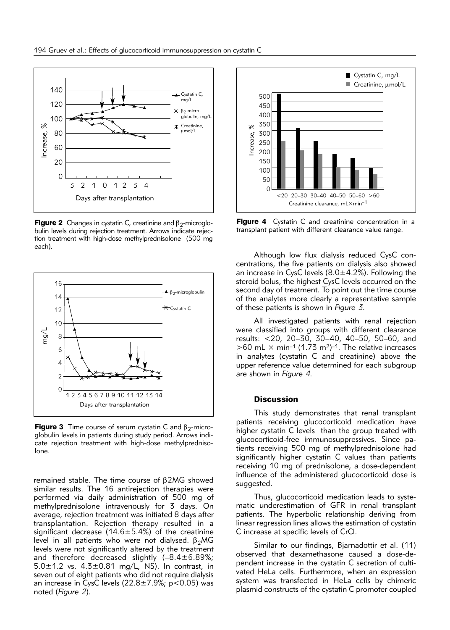

**Figure 2** Changes in cystatin C, creatinine and  $\beta_2$ -microglobulin levels during rejection treatment. Arrows indicate rejection treatment with high-dose methylprednisolone (500 mg each).



**Figure 3** Time course of serum cystatin C and  $\beta_2$ -microglobulin levels in patients during study period. Arrows indicate rejection treatment with high-dose methylprednisolone.

remained stable. The time course of  $\beta$ 2MG showed similar results. The 16 antirejection therapies were performed via daily administration of 500 mg of methylprednisolone intravenously for 3 days. On average, rejection treatment was initiated 8 days after transplantation. Rejection therapy resulted in a significant decrease (14.6 $\pm$ 5.4%) of the creatinine level in all patients who were not dialysed.  $\beta_2MG$ levels were not significantly altered by the treatment and therefore decreased slightly  $(-8.4 \pm 6.89\%)$ ;  $5.0\pm1.2$  vs.  $4.3\pm0.81$  mg/L, NS). In contrast, in seven out of eight patients who did not require dialysis an increase in CysC levels  $(22.8 \pm 7.9\%)$ ; p<0.05) was noted (*Figure 2*).



Figure 4 Cystatin C and creatinine concentration in a transplant patient with different clearance value range.

Although low flux dialysis reduced CysC concentrations, the five patients on dialysis also showed an increase in CysC levels  $(8.0 \pm 4.2\%)$ . Following the steroid bolus, the highest CysC levels occurred on the second day of treatment. To point out the time course of the analytes more clearly a representative sample of these patients is shown in *Figure 3*.

All investigated patients with renal rejection were classified into groups with different clearance results: <20, 20–30, 30–40, 40–50, 50–60, and  $>60$  mL  $\times$  min<sup>-1</sup> (1.73 m<sup>2</sup>)<sup>-1</sup>. The relative increases in analytes (cystatin C and creatinine) above the upper reference value determined for each subgroup are shown in *Figure 4*.

#### **Discussion**

This study demonstrates that renal transplant patients receiving glucocorticoid medication have higher cystatin C levels than the group treated with glu cocorticoid-free immunosuppressives. Since patients receiving 500 mg of methylprednisolone had significantly higher cystatin C values than patients receiving 10 mg of prednisolone, a dose-dependent influence of the administered glucocorticoid dose is suggested.

Thus, glucocorticoid medication leads to systematic underestimation of GFR in renal transplant patients. The hyperbolic relationship deriving from linear regression lines allows the estimation of cystatin C increase at specific levels of CrCl.

Similar to our findings, Bjarnadottir et al. (11) observed that dexamethasone caused a dose-dependent increase in the cystatin C secretion of cultivated HeLa cells. Furthermore, when an expression system was transfected in HeLa cells by chimeric plasmid constructs of the cystatin C promoter coupled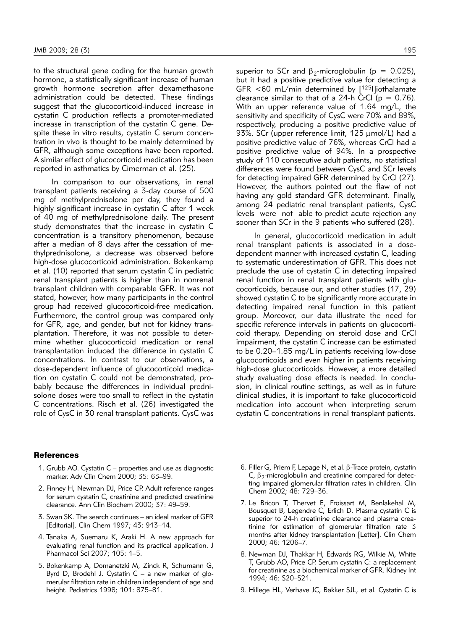to the structural gene coding for the human growth hormone, a statistically significant increase of human growth hormone secretion after dexamethasone administration could be detected. These findings suggest that the glucocorticoid-induced increase in cystatin C production reflects a promoter-mediated increase in transcription of the cystatin C gene. Despite these in vitro results, cystatin C serum concentration in vivo is thought to be mainly determined by GFR, although some exceptions have been reported. A similar effect of glucocorticoid medication has been reported in asthmatics by Cimerman et al. (25).

In comparison to our observations, in renal transplant patients receiving a 3-day course of 500 mg of methylprednisolone per day, they found a highly significant increase in cystatin C after 1 week of 40 mg of methylprednisolone daily. The present study demonstrates that the increase in cystatin C concentration is a transitory phenomenon, because after a median of 8 days after the cessation of methylprednisolone, a decrease was observed before high-dose glucocorticoid administration. Bokenkamp et al. (10) reported that serum cystatin C in pediatric renal transplant patients is higher than in nonrenal transplant children with comparable GFR. It was not stated, however, how many participants in the control group had received glucocorticoid-free medication. Furthermore, the control group was compared only for GFR, age, and gender, but not for kidney transplantation. Therefore, it was not possible to determine whether glucocorticoid medication or renal transplantation induced the difference in cystatin C concentrations. In contrast to our observations, a dose-dependent influence of glucocorticoid medication on cystatin C could not be demonstrated, probably because the differences in individual prednisolone doses were too small to reflect in the cystatin C concentrations. Risch et al. (26) investigated the role of CysC in 30 renal transplant patients. CysC was

superior to SCr and  $\beta_2$ -microglobulin (p = 0.025), but it had a positive predictive value for detecting a GFR <60 mL/min determined by [125I]iothalamate clearance similar to that of a 24-h CrCl ( $p = 0.76$ ). With an upper reference value of 1.64 mg/L, the sensitivity and specificity of CysC were 70% and 89%, respectively, producing a positive predictive value of 93%. SCr (upper reference limit, 125 µmol/L) had a positive predictive value of 76%, whereas CrCl had a positive predictive value of 94%. In a prospective study of 110 consecutive adult patients, no statistical differences were found between CysC and SCr levels for detecting impaired GFR determined by CrCl (27). However, the authors pointed out the flaw of not having any gold standard GFR determinant. Finally, among 24 pediatric renal transplant patients, CysC levels were not able to predict acute rejection any sooner than SCr in the 9 patients who suffered (28).

In general, glucocorticoid medication in adult renal transplant patients is associated in a dosedependent manner with increased cystatin C, leading to systematic underestimation of GFR. This does not preclude the use of cystatin C in detecting impaired renal function in renal transplant patients with glucocorticoids, because our, and other studies (17, 29) showed cystatin C to be significantly more accurate in detecting impaired renal function in this patient group. Moreover, our data illustrate the need for specific reference intervals in patients on glucocorticoid therapy. Depending on steroid dose and CrCl impairment, the cystatin C increase can be estimated to be 0.20–1.85 mg/L in patients receiving low-dose glucocorticoids and even higher in patients receiving high-dose glucocorticoids. However, a more detailed study evaluating dose effects is needed. In conclusion, in clinical routine settings, as well as in future clinical studies, it is important to take glucocorticoid medication into account when interpreting serum cystatin C concentrations in renal transplant patients.

#### References

- 1. Grubb AO. Cystatin C properties and use as diagnostic marker. Adv Clin Chem 2000; 35: 63–99.
- 2. Finney H, Newman DJ, Price CP. Adult reference ranges for serum cystatin C, creatinine and predicted creatinine clearance. Ann Clin Biochem 2000; 37: 49–59.
- 3. Swan SK. The search continues an ideal marker of GFR [Editorial]. Clin Chem 1997; 43: 913–14.
- 4. Tanaka A, Suemaru K, Araki H. A new approach for evaluating renal function and its practical application. J Pharmacol Sci 2007; 105: 1–5.
- 5. Bokenkamp A, Domanetzki M, Zinck R, Schumann G, Byrd D, Brodehl J. Cystatin  $C - a$  new marker of glomerular filtration rate in children independent of age and height. Pediatrics 1998; 101: 875–81.
- 6. Filler G, Priem F, Lepage N, et al. b-Trace protein, cystatin C,  $\beta$ <sub>2</sub>-microglobulin and creatinine compared for detecting impaired glomerular filtration rates in children. Clin Chem 2002; 48: 729–36.
- 7. Le Bricon T, Thervet E, Froissart M, Benlakehal M, Bousquet B, Legendre C, Erlich D. Plasma cystatin C is superior to 24-h creatinine clearance and plasma creatinine for estimation of glomerular filtration rate 3 months after kidney transplantation [Letter]. Clin Chem 2000; 46: 1206–7.
- 8. Newman DJ, Thakkar H, Edwards RG, Wilkie M, White T, Grubb AO, Price CP. Serum cystatin C: a replacement for creatinine as a biochemical marker of GFR. Kidney Int 1994; 46: S20–S21.
- 9. Hillege HL, Verhave JC, Bakker SJL, et al. Cystatin C is